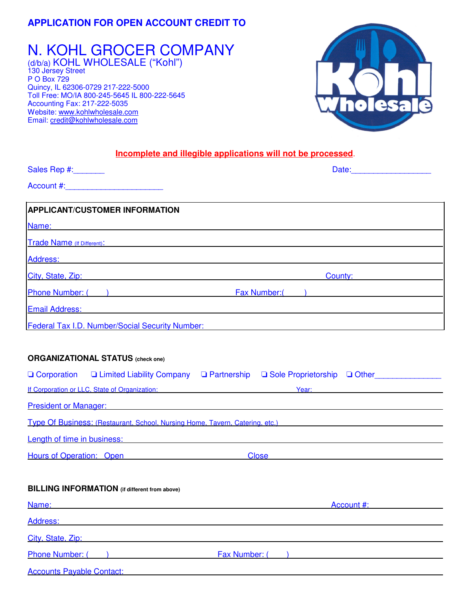# **APPLICATION FOR OPEN ACCOUNT CREDIT TO**

N. KOHL GROCER COMPANY (d/b/a) KOHL WHOLESALE ("Kohl") 130 Jersey Street P O Box 729 Quincy, IL 62306-0729 217-222-5000 Toll Free: MO/IA 800-245-5645 IL 800-222-5645 Accounting Fax: 217-222-5035 Website: www.kohlwholesale.com Email: credit@kohlwholesale.com



# **Incomplete and illegible applications will not be processed**.

| Sales Rep #:_______                                                                                                                                                                                                            | Date: Note: Note: Note: Note: Note: Note: Note: Note: Note: Note: Note: Note: Note: Note: Note: Note: Note: No                                                                                                                                                                                                                                                                                                                                                                                                                                                                                                                                                                                                                               |
|--------------------------------------------------------------------------------------------------------------------------------------------------------------------------------------------------------------------------------|----------------------------------------------------------------------------------------------------------------------------------------------------------------------------------------------------------------------------------------------------------------------------------------------------------------------------------------------------------------------------------------------------------------------------------------------------------------------------------------------------------------------------------------------------------------------------------------------------------------------------------------------------------------------------------------------------------------------------------------------|
|                                                                                                                                                                                                                                |                                                                                                                                                                                                                                                                                                                                                                                                                                                                                                                                                                                                                                                                                                                                              |
| <b>APPLICANT/CUSTOMER INFORMATION</b>                                                                                                                                                                                          |                                                                                                                                                                                                                                                                                                                                                                                                                                                                                                                                                                                                                                                                                                                                              |
| Name:                                                                                                                                                                                                                          |                                                                                                                                                                                                                                                                                                                                                                                                                                                                                                                                                                                                                                                                                                                                              |
|                                                                                                                                                                                                                                | <b>Trade Name (if Different):</b> Trade Name (if $\frac{1}{2}$                                                                                                                                                                                                                                                                                                                                                                                                                                                                                                                                                                                                                                                                               |
| Address: National Address: National Address: National Address: National Address: National Address: N                                                                                                                           |                                                                                                                                                                                                                                                                                                                                                                                                                                                                                                                                                                                                                                                                                                                                              |
| City, State, Zip: example and a state of the state of the state of the state of the state of the state of the state of the state of the state of the state of the state of the state of the state of the state of the state of | County: <b>County: County: County: County: County: County: County: County: County: County: County: County: County: County: County: County: County: County: County: County: County: (COUN</b>                                                                                                                                                                                                                                                                                                                                                                                                                                                                                                                                                 |
|                                                                                                                                                                                                                                | Phone Number: (a) The Review of Tax Number: (b) Tax Number: (b) The Review of Tax Number: (b) Tax Number: (b) Tax Number: (c) Tax Number: (c) Tax Number: (c) Tax Number: (c) Tax Number: (c) Tax Number: (c) Tax Number: (c)                                                                                                                                                                                                                                                                                                                                                                                                                                                                                                                |
| Email Address: Email Address:                                                                                                                                                                                                  |                                                                                                                                                                                                                                                                                                                                                                                                                                                                                                                                                                                                                                                                                                                                              |
|                                                                                                                                                                                                                                | Federal Tax I.D. Number/Social Security Number: National Action of the Control of the Control of the Control of the Control of the Control of the Control of the Control of the Control of the Control of the Control of the C                                                                                                                                                                                                                                                                                                                                                                                                                                                                                                               |
| <b>ORGANIZATIONAL STATUS (check one)</b><br>If Corporation or LLC. State of Organization: New York 1999                                                                                                                        | □ Corporation □ Limited Liability Company □ Partnership □ Sole Proprietorship □ Other<br>Year:<br><b>President or Manager: Contract Contract Contract Contract Contract Contract Contract Contract Contract Contract Contract Contract Contract Contract Contract Contract Contract Contract Contract Contract Contract Contract</b><br>Type Of Business: (Restaurant, School, Nursing Home, Tavern, Catering, etc.) [18] Type Of Business: (Restaurant, School, Nursing Home, Tavern, Catering, etc.)<br><b>Length of time in business: Contract Contract Contract Contract Contract Contract Contract Contract Contract Contract Contract Contract Contract Contract Contract Contract Contract Contract Contract Contract Contract Co</b> |
| Hours of Operation: Open<br><b>BILLING INFORMATION</b> (if different from above)                                                                                                                                               | Close <u>____________________________</u>                                                                                                                                                                                                                                                                                                                                                                                                                                                                                                                                                                                                                                                                                                    |
| Name:                                                                                                                                                                                                                          | Account #:                                                                                                                                                                                                                                                                                                                                                                                                                                                                                                                                                                                                                                                                                                                                   |
| Address:                                                                                                                                                                                                                       |                                                                                                                                                                                                                                                                                                                                                                                                                                                                                                                                                                                                                                                                                                                                              |
| City, State, Zip:                                                                                                                                                                                                              |                                                                                                                                                                                                                                                                                                                                                                                                                                                                                                                                                                                                                                                                                                                                              |
| Phone Number: (                                                                                                                                                                                                                | Fax Number: ()                                                                                                                                                                                                                                                                                                                                                                                                                                                                                                                                                                                                                                                                                                                               |
| <b>Accounts Payable Contact:</b>                                                                                                                                                                                               |                                                                                                                                                                                                                                                                                                                                                                                                                                                                                                                                                                                                                                                                                                                                              |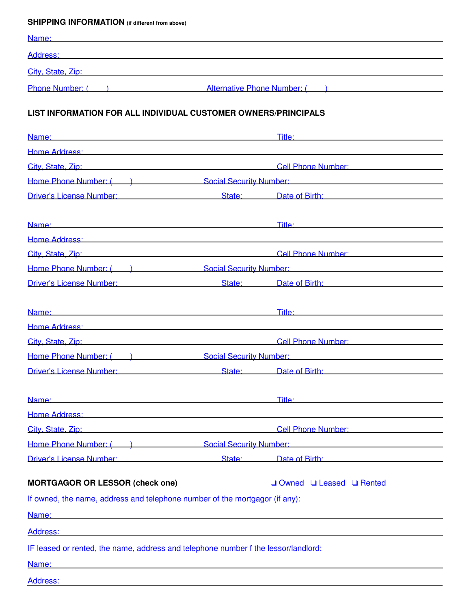# **SHIPPING INFORMATION (if different from above)**

| Name:                                                                                                                                                                                                                          |                                                                                                                                                                                                                                |
|--------------------------------------------------------------------------------------------------------------------------------------------------------------------------------------------------------------------------------|--------------------------------------------------------------------------------------------------------------------------------------------------------------------------------------------------------------------------------|
| Address: Address: Address: Address: Address: Address: Address: Address: Address: Address: Address: Address: Address: Address: Address: Address: Address: Address: Address: Address: Address: Address: Address: Address: Addres |                                                                                                                                                                                                                                |
| City, State, Zip: etc. All and the contract of the contract of the contract of the contract of the contract of the contract of the contract of the contract of the contract of the contract of the contract of the contract of |                                                                                                                                                                                                                                |
|                                                                                                                                                                                                                                | Phone Number: ( ) and Alternative Phone Number: ( )                                                                                                                                                                            |
| <b>LIST INFORMATION FOR ALL INDIVIDUAL CUSTOMER OWNERS/PRINCIPALS</b>                                                                                                                                                          |                                                                                                                                                                                                                                |
| Name: Name: Name: Name: Name: Name: Name: Name: Name: Name: Name: Name: Name: Name: Name: Name: Name: Name: Name: Name: Name: Name: Name: Name: Name: Name: Name: Name: Name: Name: Name: Name: Name: Name: Name: Name: Name:  | Title: Title: The Commission of the Commission of the Commission of the Commission of the Commission of the Co                                                                                                                 |
| Home Address: North American State Communication of the Address:                                                                                                                                                               |                                                                                                                                                                                                                                |
|                                                                                                                                                                                                                                | City, State, Zip: Cell Phone Number:                                                                                                                                                                                           |
|                                                                                                                                                                                                                                | Home Phone Number: ( a contract and Social Security Number: Social Security Number:                                                                                                                                            |
|                                                                                                                                                                                                                                | Driver's License Number: State: Date of Birth:                                                                                                                                                                                 |
| Name: Wallen and Contract the Contract of the Contract of the Contract of the Contract of the Contract of the Contract of the Contract of the Contract of the Contract of the Contract of the Contract of the Contract of the  | Title: The contract of the contract of the contract of the contract of the contract of the contract of the contract of the contract of the contract of the contract of the contract of the contract of the contract of the con |
| Home Address: New York Products and Contract Contract Contract Contract Contract Contract Contract Contract Co                                                                                                                 |                                                                                                                                                                                                                                |
|                                                                                                                                                                                                                                | City, State, Zip: City, State, Zip: Cell Phone Number:                                                                                                                                                                         |
|                                                                                                                                                                                                                                | <b>Home Phone Number: (edge)</b> Social Security Number:                                                                                                                                                                       |
|                                                                                                                                                                                                                                | Driver's License Number: State: Date of Birth:                                                                                                                                                                                 |
|                                                                                                                                                                                                                                | Title: Title: The Commission of the Commission of the Commission of the Commission of the Commission of the Co                                                                                                                 |
|                                                                                                                                                                                                                                | Home Address: Entertainment of the Address of the Address of the Address of the Address of the Address of the Address of the Address of the Address of the Address of the Address of the Address of the Address of the Address |
|                                                                                                                                                                                                                                | City, State, Zip: City, State, Zip: Cell Phone Number:                                                                                                                                                                         |
|                                                                                                                                                                                                                                | <b>Home Phone Number: (ed. )</b> Social Security Number:                                                                                                                                                                       |
|                                                                                                                                                                                                                                | Driver's License Number: State: State: Date of Birth:                                                                                                                                                                          |
| Name:                                                                                                                                                                                                                          | Title:                                                                                                                                                                                                                         |
| Home Address: New York Street, New York Street, New York Street, New York Street, New York Street, New York Street, New York Street, New York Street, New York Street, New York Street, New York Street, New York Street, New  |                                                                                                                                                                                                                                |
| City, State, Zip: 2004                                                                                                                                                                                                         | Cell Phone Number: National According to the Cell Phone Number:                                                                                                                                                                |
|                                                                                                                                                                                                                                | Home Phone Number: (a) Social Security Number:                                                                                                                                                                                 |
| <b>Driver's License Number:</b> State: Date of Birth:                                                                                                                                                                          |                                                                                                                                                                                                                                |
| <b>MORTGAGOR OR LESSOR (check one)</b>                                                                                                                                                                                         | $\Box$ Owned $\Box$ Leased $\Box$ Rented                                                                                                                                                                                       |
| If owned, the name, address and telephone number of the mortgagor (if any):                                                                                                                                                    |                                                                                                                                                                                                                                |
| Name:                                                                                                                                                                                                                          |                                                                                                                                                                                                                                |
| Address:                                                                                                                                                                                                                       |                                                                                                                                                                                                                                |
| IF leased or rented, the name, address and telephone number f the lessor/landlord:                                                                                                                                             |                                                                                                                                                                                                                                |
| Name:                                                                                                                                                                                                                          |                                                                                                                                                                                                                                |
| Address:                                                                                                                                                                                                                       |                                                                                                                                                                                                                                |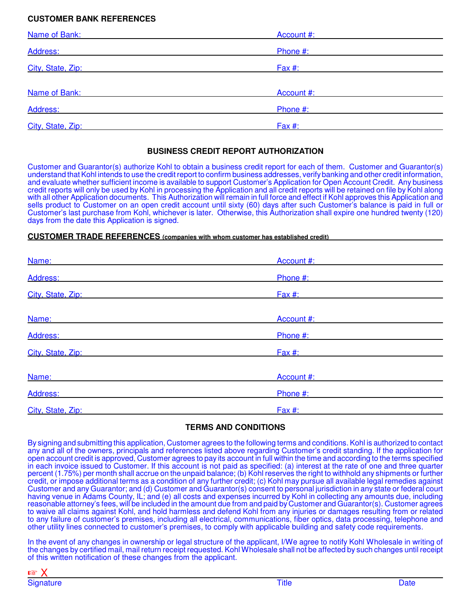## **CUSTOMER BANK REFERENCES**

| Name of Bank:     | Account #: |  |
|-------------------|------------|--|
| Address:          | Phone #:   |  |
| City, State, Zip: | $Fax \#$ : |  |
| Name of Bank:     | Account #: |  |
| Address:          | Phone #:   |  |
| City, State, Zip: | Fax $#$ :  |  |

#### **BUSINESS CREDIT REPORT AUTHORIZATION**

Customer and Guarantor(s) authorize Kohl to obtain a business credit report for each of them. Customer and Guarantor(s) understand that Kohl intends to use the credit report to confirm business addresses, verify banking and other credit information, and evaluate whether sufficient income is available to support Customer's Application for Open Account Credit. Any business credit reports will only be used by Kohl in processing the Application and all credit reports will be retained on file by Kohl along with all other Application documents. This Authorization will remain in full force and effect if Kohl approves this Application and sells product to Customer on an open credit account until sixty (60) days after such Customer's balance is paid in full or Customer's last purchase from Kohl, whichever is later. Otherwise, this Authorization shall expire one hundred twenty (120) days from the date this Application is signed.

#### **CUSTOMER TRADE REFERENCES (companies with whom customer has established credit)**

| Name:             | Account #: |  |
|-------------------|------------|--|
| Address:          | Phone #:   |  |
| City, State, Zip: | Fax $#$ :  |  |
| Name:             | Account #: |  |
| Address:          | Phone #:   |  |
| City, State, Zip: | $Fax \#$ : |  |
| Name:             | Account #: |  |
| Address:          | Phone #:   |  |
| City, State, Zip: | Fax #:     |  |

## **TERMS AND CONDITIONS**

By signing and submitting this application, Customer agrees to the following terms and conditions. Kohl is authorized to contact any and all of the owners, principals and references listed above regarding Customer's credit standing. If the application for open account credit is approved, Customer agrees to pay its account in full within the time and according to the terms specified in each invoice issued to Customer. If this account is not paid as specified: (a) interest at the rate of one and three quarter percent (1.75%) per month shall accrue on the unpaid balance; (b) Kohl reserves the right to withhold any shipments or further credit, or impose additional terms as a condition of any further credit; (c) Kohl may pursue all available legal remedies against Customer and any Guarantor; and (d) Customer and Guarantor(s) consent to personal jurisdiction in any state or federal court having venue in Adams County, IL; and (e) all costs and expenses incurred by Kohl in collecting any amounts due, including reasonable attorney's fees, will be included in the amount due from and paid by Customer and Guarantor(s). Customer agrees to waive all claims against Kohl, and hold harmless and defend Kohl from any injuries or damages resulting from or related to any failure of customer's premises, including all electrical, communications, fiber optics, data processing, telephone and other utility lines connected to customer's premises, to comply with applicable building and safety code requirements.

In the event of any changes in ownership or legal structure of the applicant, I/We agree to notify Kohl Wholesale in writing of the changes by certified mail, mail return receipt requested. Kohl Wholesale shall not be affected by such changes until receipt of this written notification of these changes from the applicant.

| $\mathbb{R}$ |    |  |
|--------------|----|--|
| Signature    | щe |  |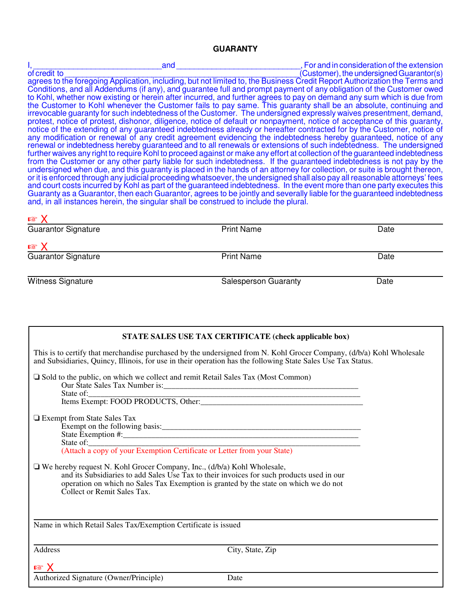#### **GUARANTY**

I, \_\_\_\_\_\_\_\_\_\_\_\_\_\_\_\_\_\_\_\_\_\_\_\_\_\_\_\_\_and \_\_\_\_\_\_\_\_\_\_\_\_\_\_\_\_\_\_\_\_\_\_\_\_\_\_\_\_, For and in consideration of the extension (Customer), the undersigned Guarantor(s) agrees to the foregoing Application, including, but not limited to, the Business Credit Report Authorization the Terms and Conditions, and all Addendums (if any), and guarantee full and prompt payment of any obligation of the Customer owed to Kohl, whether now existing or herein after incurred, and further agrees to pay on demand any sum which is due from the Customer to Kohl whenever the Customer fails to pay same. This guaranty shall be an absolute, continuing and irrevocable guaranty for such indebtedness of the Customer. The undersigned expressly waives presentment, demand, protest, notice of protest, dishonor, diligence, notice of default or nonpayment, notice of acceptance of this guaranty, notice of the extending of any guaranteed indebtedness already or hereafter contracted for by the Customer, notice of any modification or renewal of any credit agreement evidencing the indebtedness hereby guaranteed, notice of any renewal or indebtedness hereby guaranteed and to all renewals or extensions of such indebtedness. The undersigned further waives any right to require Kohl to proceed against or make any effort at collection of the guaranteed indebtedness from the Customer or any other party liable for such indebtedness. If the guaranteed indebtedness is not pay by the undersigned when due, and this guaranty is placed in the hands of an attorney for collection, or suite is brought thereon, or it is enforced through any judicial proceeding whatsoever, the undersigned shall also pay all reasonable attorneys' fees and court costs incurred by Kohl as part of the guaranteed indebtedness. In the event more than one party executes this Guaranty as a Guarantor, then each Guarantor, agrees to be jointly and severally liable for the guaranteed indebtedness and, in all instances herein, the singular shall be construed to include the plural.

| <b>K2 Y</b>                |                             |      |
|----------------------------|-----------------------------|------|
| Guarantor Signature        | <b>Print Name</b>           | Date |
| $\mathbb{R}$ X             |                             |      |
| <b>Guarantor Signature</b> | <b>Print Name</b>           | Date |
| Witness Signature          | <b>Salesperson Guaranty</b> | Date |

 $\overline{\mathbf{v}}$ 

| STATE SALES USE TAX CERTIFICATE (check applicable box)                                                                                                                                                                                                                                             |
|----------------------------------------------------------------------------------------------------------------------------------------------------------------------------------------------------------------------------------------------------------------------------------------------------|
| This is to certify that merchandise purchased by the undersigned from N. Kohl Grocer Company, (d/b/a) Kohl Wholesale<br>and Subsidiaries, Quincy, Illinois, for use in their operation has the following State Sales Use Tax Status.                                                               |
| $\Box$ Sold to the public, on which we collect and remit Retail Sales Tax (Most Common)                                                                                                                                                                                                            |
| □ Exempt from State Sales Tax<br>State of: <u>Calculation</u><br>(Attach a copy of your Exemption Certificate or Letter from your State)                                                                                                                                                           |
| $\Box$ We hereby request N. Kohl Grocer Company, Inc., (d/b/a) Kohl Wholesale,<br>and its Subsidiaries to add Sales Use Tax to their invoices for such products used in our<br>operation on which no Sales Tax Exemption is granted by the state on which we do not<br>Collect or Remit Sales Tax. |
| Name in which Retail Sales Tax/Exemption Certificate is issued                                                                                                                                                                                                                                     |
| Address<br>City, State, Zip                                                                                                                                                                                                                                                                        |
| $\mathbb{R}^2$ $\times$<br>Authorized Signature (Owner/Principle)<br>Date                                                                                                                                                                                                                          |